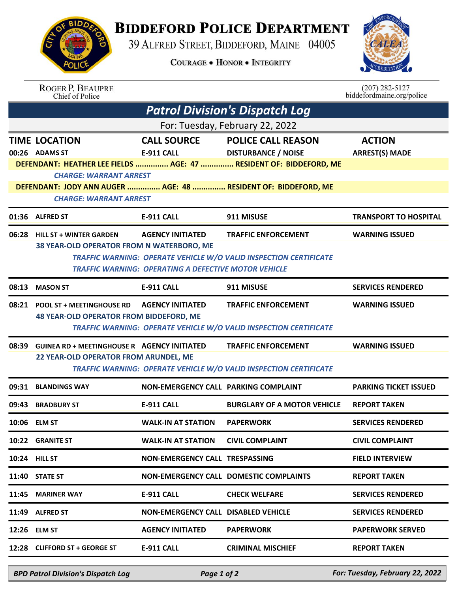

## **BIDDEFORD POLICE DEPARTMENT**

39 ALFRED STREET, BIDDEFORD, MAINE 04005

**COURAGE . HONOR . INTEGRITY** 



| <b>ROGER P. BEAUPRE</b> |
|-------------------------|
| Chief of Police         |

 $(207)$  282-5127<br>biddefordmaine.org/police

| <b>Patrol Division's Dispatch Log</b>                                                                                            |                                                                   |                                            |                                                                    |                                        |  |  |  |  |  |
|----------------------------------------------------------------------------------------------------------------------------------|-------------------------------------------------------------------|--------------------------------------------|--------------------------------------------------------------------|----------------------------------------|--|--|--|--|--|
| For: Tuesday, February 22, 2022                                                                                                  |                                                                   |                                            |                                                                    |                                        |  |  |  |  |  |
|                                                                                                                                  | <b>TIME LOCATION</b><br>00:26 ADAMS ST                            | <b>CALL SOURCE</b><br>E-911 CALL           | <b>POLICE CALL REASON</b><br><b>DISTURBANCE / NOISE</b>            | <b>ACTION</b><br><b>ARREST(S) MADE</b> |  |  |  |  |  |
|                                                                                                                                  |                                                                   |                                            | DEFENDANT: HEATHER LEE FIELDS  AGE: 47  RESIDENT OF: BIDDEFORD, ME |                                        |  |  |  |  |  |
|                                                                                                                                  | <b>CHARGE: WARRANT ARREST</b>                                     |                                            |                                                                    |                                        |  |  |  |  |  |
| DEFENDANT: JODY ANN AUGER  AGE: 48  RESIDENT OF: BIDDEFORD, ME<br><b>CHARGE: WARRANT ARREST</b>                                  |                                                                   |                                            |                                                                    |                                        |  |  |  |  |  |
|                                                                                                                                  | 01:36 ALFRED ST                                                   | <b>E-911 CALL</b>                          | 911 MISUSE                                                         | <b>TRANSPORT TO HOSPITAL</b>           |  |  |  |  |  |
|                                                                                                                                  | 06:28 HILL ST + WINTER GARDEN                                     | <b>AGENCY INITIATED</b>                    | <b>TRAFFIC ENFORCEMENT</b>                                         | <b>WARNING ISSUED</b>                  |  |  |  |  |  |
|                                                                                                                                  | 38 YEAR-OLD OPERATOR FROM N WATERBORO, ME                         |                                            |                                                                    |                                        |  |  |  |  |  |
| TRAFFIC WARNING: OPERATE VEHICLE W/O VALID INSPECTION CERTIFICATE<br><b>TRAFFIC WARNING: OPERATING A DEFECTIVE MOTOR VEHICLE</b> |                                                                   |                                            |                                                                    |                                        |  |  |  |  |  |
| 08:13                                                                                                                            | <b>MASON ST</b>                                                   | <b>E-911 CALL</b>                          | 911 MISUSE                                                         | <b>SERVICES RENDERED</b>               |  |  |  |  |  |
| 08:21                                                                                                                            | <b>POOL ST + MEETINGHOUSE RD</b>                                  | <b>AGENCY INITIATED</b>                    | <b>TRAFFIC ENFORCEMENT</b>                                         | <b>WARNING ISSUED</b>                  |  |  |  |  |  |
|                                                                                                                                  | <b>48 YEAR-OLD OPERATOR FROM BIDDEFORD, ME</b>                    |                                            |                                                                    |                                        |  |  |  |  |  |
| <b>TRAFFIC WARNING: OPERATE VEHICLE W/O VALID INSPECTION CERTIFICATE</b>                                                         |                                                                   |                                            |                                                                    |                                        |  |  |  |  |  |
|                                                                                                                                  | 08:39 GUINEA RD + MEETINGHOUSE R AGENCY INITIATED                 |                                            | <b>TRAFFIC ENFORCEMENT</b>                                         | <b>WARNING ISSUED</b>                  |  |  |  |  |  |
|                                                                                                                                  | 22 YEAR-OLD OPERATOR FROM ARUNDEL, ME                             |                                            |                                                                    |                                        |  |  |  |  |  |
|                                                                                                                                  | TRAFFIC WARNING: OPERATE VEHICLE W/O VALID INSPECTION CERTIFICATE |                                            |                                                                    |                                        |  |  |  |  |  |
| 09:31                                                                                                                            | <b>BLANDINGS WAY</b>                                              | NON-EMERGENCY CALL PARKING COMPLAINT       |                                                                    | <b>PARKING TICKET ISSUED</b>           |  |  |  |  |  |
|                                                                                                                                  | 09:43 BRADBURY ST                                                 | <b>E-911 CALL</b>                          | <b>BURGLARY OF A MOTOR VEHICLE</b>                                 | <b>REPORT TAKEN</b>                    |  |  |  |  |  |
|                                                                                                                                  | 10:06 ELM ST                                                      | <b>WALK-IN AT STATION</b>                  | <b>PAPERWORK</b>                                                   | <b>SERVICES RENDERED</b>               |  |  |  |  |  |
|                                                                                                                                  | 10:22 GRANITE ST                                                  | <b>WALK-IN AT STATION CIVIL COMPLAINT</b>  |                                                                    | <b>CIVIL COMPLAINT</b>                 |  |  |  |  |  |
|                                                                                                                                  | <b>10:24 HILL ST</b>                                              | NON-EMERGENCY CALL TRESPASSING             |                                                                    | <b>FIELD INTERVIEW</b>                 |  |  |  |  |  |
|                                                                                                                                  | $11:40$ STATE ST                                                  |                                            | NON-EMERGENCY CALL DOMESTIC COMPLAINTS                             | <b>REPORT TAKEN</b>                    |  |  |  |  |  |
|                                                                                                                                  | 11:45 MARINER WAY                                                 | <b>E-911 CALL</b>                          | <b>CHECK WELFARE</b>                                               | <b>SERVICES RENDERED</b>               |  |  |  |  |  |
|                                                                                                                                  | 11:49 ALFRED ST                                                   | <b>NON-EMERGENCY CALL DISABLED VEHICLE</b> |                                                                    | <b>SERVICES RENDERED</b>               |  |  |  |  |  |
|                                                                                                                                  | 12:26 ELM ST                                                      | <b>AGENCY INITIATED</b>                    | <b>PAPERWORK</b>                                                   | <b>PAPERWORK SERVED</b>                |  |  |  |  |  |
|                                                                                                                                  | 12:28 CLIFFORD ST + GEORGE ST                                     | <b>E-911 CALL</b>                          | <b>CRIMINAL MISCHIEF</b>                                           | <b>REPORT TAKEN</b>                    |  |  |  |  |  |
|                                                                                                                                  |                                                                   |                                            |                                                                    |                                        |  |  |  |  |  |

*BPD Patrol Division's Dispatch Log Page 1 of 2 For: Tuesday, February 22, 2022*